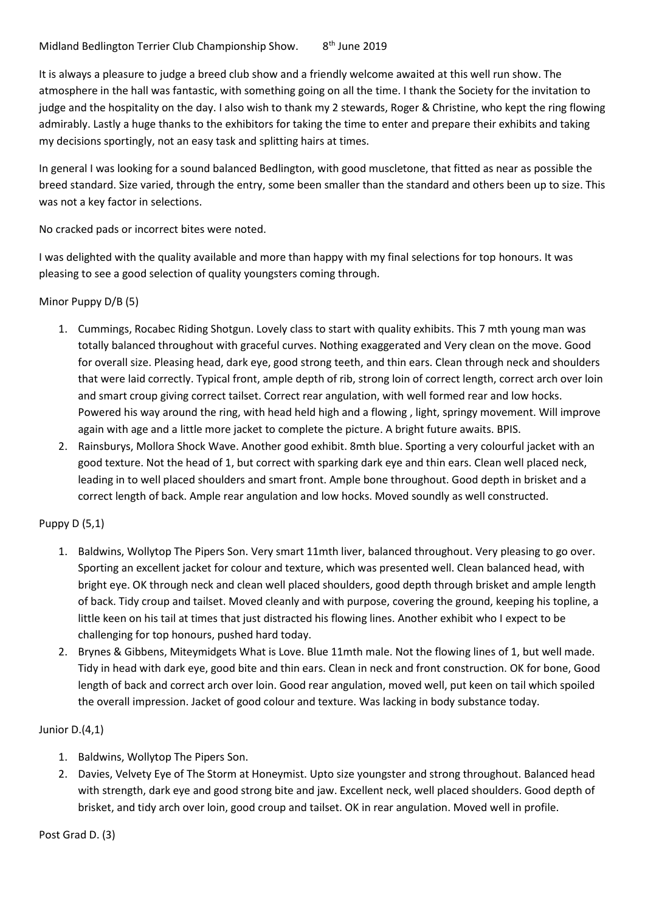Midland Bedlington Terrier Club Championship Show. 8<sup>th</sup> June 2019

It is always a pleasure to judge a breed club show and a friendly welcome awaited at this well run show. The atmosphere in the hall was fantastic, with something going on all the time. I thank the Society for the invitation to judge and the hospitality on the day. I also wish to thank my 2 stewards, Roger & Christine, who kept the ring flowing admirably. Lastly a huge thanks to the exhibitors for taking the time to enter and prepare their exhibits and taking my decisions sportingly, not an easy task and splitting hairs at times.

In general I was looking for a sound balanced Bedlington, with good muscletone, that fitted as near as possible the breed standard. Size varied, through the entry, some been smaller than the standard and others been up to size. This was not a key factor in selections.

No cracked pads or incorrect bites were noted.

I was delighted with the quality available and more than happy with my final selections for top honours. It was pleasing to see a good selection of quality youngsters coming through.

#### Minor Puppy D/B (5)

- 1. Cummings, Rocabec Riding Shotgun. Lovely class to start with quality exhibits. This 7 mth young man was totally balanced throughout with graceful curves. Nothing exaggerated and Very clean on the move. Good for overall size. Pleasing head, dark eye, good strong teeth, and thin ears. Clean through neck and shoulders that were laid correctly. Typical front, ample depth of rib, strong loin of correct length, correct arch over loin and smart croup giving correct tailset. Correct rear angulation, with well formed rear and low hocks. Powered his way around the ring, with head held high and a flowing , light, springy movement. Will improve again with age and a little more jacket to complete the picture. A bright future awaits. BPIS.
- 2. Rainsburys, Mollora Shock Wave. Another good exhibit. 8mth blue. Sporting a very colourful jacket with an good texture. Not the head of 1, but correct with sparking dark eye and thin ears. Clean well placed neck, leading in to well placed shoulders and smart front. Ample bone throughout. Good depth in brisket and a correct length of back. Ample rear angulation and low hocks. Moved soundly as well constructed.

#### Puppy D (5,1)

- 1. Baldwins, Wollytop The Pipers Son. Very smart 11mth liver, balanced throughout. Very pleasing to go over. Sporting an excellent jacket for colour and texture, which was presented well. Clean balanced head, with bright eye. OK through neck and clean well placed shoulders, good depth through brisket and ample length of back. Tidy croup and tailset. Moved cleanly and with purpose, covering the ground, keeping his topline, a little keen on his tail at times that just distracted his flowing lines. Another exhibit who I expect to be challenging for top honours, pushed hard today.
- 2. Brynes & Gibbens, Miteymidgets What is Love. Blue 11mth male. Not the flowing lines of 1, but well made. Tidy in head with dark eye, good bite and thin ears. Clean in neck and front construction. OK for bone, Good length of back and correct arch over loin. Good rear angulation, moved well, put keen on tail which spoiled the overall impression. Jacket of good colour and texture. Was lacking in body substance today.

#### Junior D.(4,1)

- 1. Baldwins, Wollytop The Pipers Son.
- 2. Davies, Velvety Eye of The Storm at Honeymist. Upto size youngster and strong throughout. Balanced head with strength, dark eye and good strong bite and jaw. Excellent neck, well placed shoulders. Good depth of brisket, and tidy arch over loin, good croup and tailset. OK in rear angulation. Moved well in profile.

Post Grad D. (3)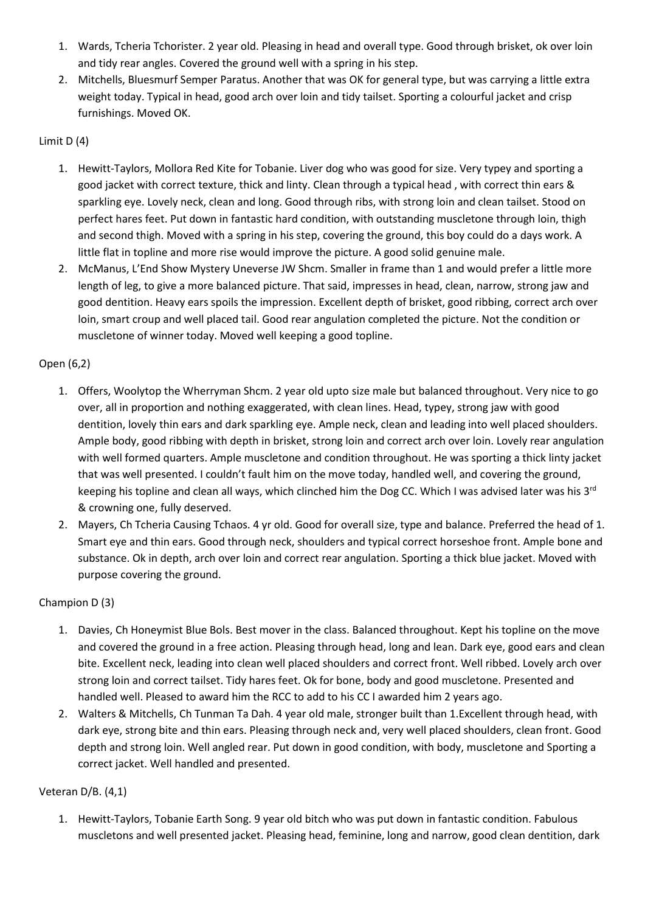- 1. Wards, Tcheria Tchorister. 2 year old. Pleasing in head and overall type. Good through brisket, ok over loin and tidy rear angles. Covered the ground well with a spring in his step.
- 2. Mitchells, Bluesmurf Semper Paratus. Another that was OK for general type, but was carrying a little extra weight today. Typical in head, good arch over loin and tidy tailset. Sporting a colourful jacket and crisp furnishings. Moved OK.

## Limit D (4)

- 1. Hewitt-Taylors, Mollora Red Kite for Tobanie. Liver dog who was good for size. Very typey and sporting a good jacket with correct texture, thick and linty. Clean through a typical head , with correct thin ears & sparkling eye. Lovely neck, clean and long. Good through ribs, with strong loin and clean tailset. Stood on perfect hares feet. Put down in fantastic hard condition, with outstanding muscletone through loin, thigh and second thigh. Moved with a spring in his step, covering the ground, this boy could do a days work. A little flat in topline and more rise would improve the picture. A good solid genuine male.
- 2. McManus, L'End Show Mystery Uneverse JW Shcm. Smaller in frame than 1 and would prefer a little more length of leg, to give a more balanced picture. That said, impresses in head, clean, narrow, strong jaw and good dentition. Heavy ears spoils the impression. Excellent depth of brisket, good ribbing, correct arch over loin, smart croup and well placed tail. Good rear angulation completed the picture. Not the condition or muscletone of winner today. Moved well keeping a good topline.

### Open (6,2)

- 1. Offers, Woolytop the Wherryman Shcm. 2 year old upto size male but balanced throughout. Very nice to go over, all in proportion and nothing exaggerated, with clean lines. Head, typey, strong jaw with good dentition, lovely thin ears and dark sparkling eye. Ample neck, clean and leading into well placed shoulders. Ample body, good ribbing with depth in brisket, strong loin and correct arch over loin. Lovely rear angulation with well formed quarters. Ample muscletone and condition throughout. He was sporting a thick linty jacket that was well presented. I couldn't fault him on the move today, handled well, and covering the ground, keeping his topline and clean all ways, which clinched him the Dog CC. Which I was advised later was his 3<sup>rd</sup> & crowning one, fully deserved.
- 2. Mayers, Ch Tcheria Causing Tchaos. 4 yr old. Good for overall size, type and balance. Preferred the head of 1. Smart eye and thin ears. Good through neck, shoulders and typical correct horseshoe front. Ample bone and substance. Ok in depth, arch over loin and correct rear angulation. Sporting a thick blue jacket. Moved with purpose covering the ground.

#### Champion D (3)

- 1. Davies, Ch Honeymist Blue Bols. Best mover in the class. Balanced throughout. Kept his topline on the move and covered the ground in a free action. Pleasing through head, long and lean. Dark eye, good ears and clean bite. Excellent neck, leading into clean well placed shoulders and correct front. Well ribbed. Lovely arch over strong loin and correct tailset. Tidy hares feet. Ok for bone, body and good muscletone. Presented and handled well. Pleased to award him the RCC to add to his CC I awarded him 2 years ago.
- 2. Walters & Mitchells, Ch Tunman Ta Dah. 4 year old male, stronger built than 1.Excellent through head, with dark eye, strong bite and thin ears. Pleasing through neck and, very well placed shoulders, clean front. Good depth and strong loin. Well angled rear. Put down in good condition, with body, muscletone and Sporting a correct jacket. Well handled and presented.

#### Veteran D/B. (4,1)

1. Hewitt-Taylors, Tobanie Earth Song. 9 year old bitch who was put down in fantastic condition. Fabulous muscletons and well presented jacket. Pleasing head, feminine, long and narrow, good clean dentition, dark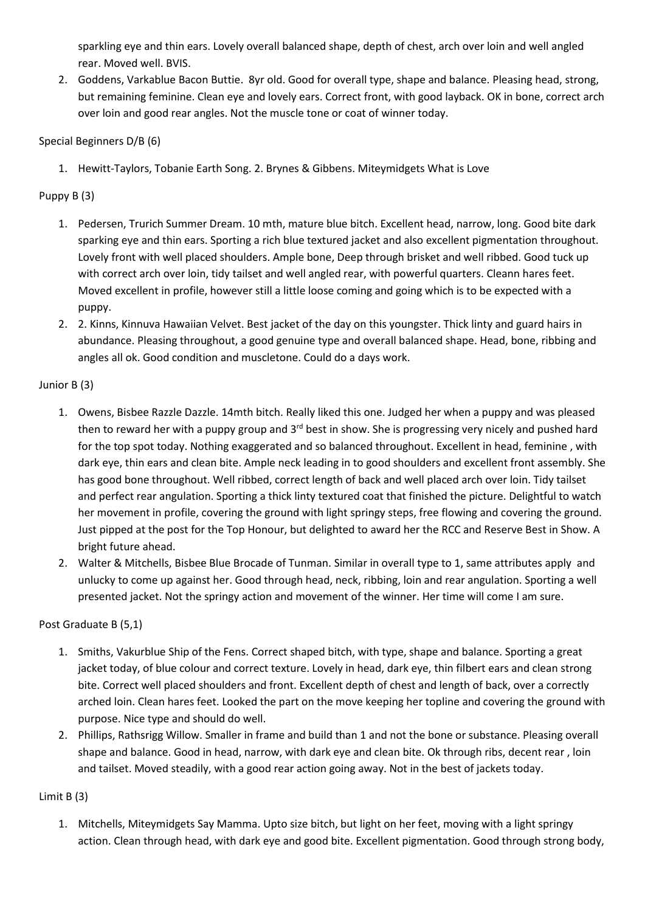sparkling eye and thin ears. Lovely overall balanced shape, depth of chest, arch over loin and well angled rear. Moved well. BVIS.

2. Goddens, Varkablue Bacon Buttie. 8yr old. Good for overall type, shape and balance. Pleasing head, strong, but remaining feminine. Clean eye and lovely ears. Correct front, with good layback. OK in bone, correct arch over loin and good rear angles. Not the muscle tone or coat of winner today.

Special Beginners D/B (6)

1. Hewitt-Taylors, Tobanie Earth Song. 2. Brynes & Gibbens. Miteymidgets What is Love

### Puppy B (3)

- 1. Pedersen, Trurich Summer Dream. 10 mth, mature blue bitch. Excellent head, narrow, long. Good bite dark sparking eye and thin ears. Sporting a rich blue textured jacket and also excellent pigmentation throughout. Lovely front with well placed shoulders. Ample bone, Deep through brisket and well ribbed. Good tuck up with correct arch over loin, tidy tailset and well angled rear, with powerful quarters. Cleann hares feet. Moved excellent in profile, however still a little loose coming and going which is to be expected with a puppy.
- 2. 2. Kinns, Kinnuva Hawaiian Velvet. Best jacket of the day on this youngster. Thick linty and guard hairs in abundance. Pleasing throughout, a good genuine type and overall balanced shape. Head, bone, ribbing and angles all ok. Good condition and muscletone. Could do a days work.

### Junior B (3)

- 1. Owens, Bisbee Razzle Dazzle. 14mth bitch. Really liked this one. Judged her when a puppy and was pleased then to reward her with a puppy group and  $3<sup>rd</sup>$  best in show. She is progressing very nicely and pushed hard for the top spot today. Nothing exaggerated and so balanced throughout. Excellent in head, feminine , with dark eye, thin ears and clean bite. Ample neck leading in to good shoulders and excellent front assembly. She has good bone throughout. Well ribbed, correct length of back and well placed arch over loin. Tidy tailset and perfect rear angulation. Sporting a thick linty textured coat that finished the picture. Delightful to watch her movement in profile, covering the ground with light springy steps, free flowing and covering the ground. Just pipped at the post for the Top Honour, but delighted to award her the RCC and Reserve Best in Show. A bright future ahead.
- 2. Walter & Mitchells, Bisbee Blue Brocade of Tunman. Similar in overall type to 1, same attributes apply and unlucky to come up against her. Good through head, neck, ribbing, loin and rear angulation. Sporting a well presented jacket. Not the springy action and movement of the winner. Her time will come I am sure.

## Post Graduate B (5,1)

- 1. Smiths, Vakurblue Ship of the Fens. Correct shaped bitch, with type, shape and balance. Sporting a great jacket today, of blue colour and correct texture. Lovely in head, dark eye, thin filbert ears and clean strong bite. Correct well placed shoulders and front. Excellent depth of chest and length of back, over a correctly arched loin. Clean hares feet. Looked the part on the move keeping her topline and covering the ground with purpose. Nice type and should do well.
- 2. Phillips, Rathsrigg Willow. Smaller in frame and build than 1 and not the bone or substance. Pleasing overall shape and balance. Good in head, narrow, with dark eye and clean bite. Ok through ribs, decent rear , loin and tailset. Moved steadily, with a good rear action going away. Not in the best of jackets today.

## Limit B (3)

1. Mitchells, Miteymidgets Say Mamma. Upto size bitch, but light on her feet, moving with a light springy action. Clean through head, with dark eye and good bite. Excellent pigmentation. Good through strong body,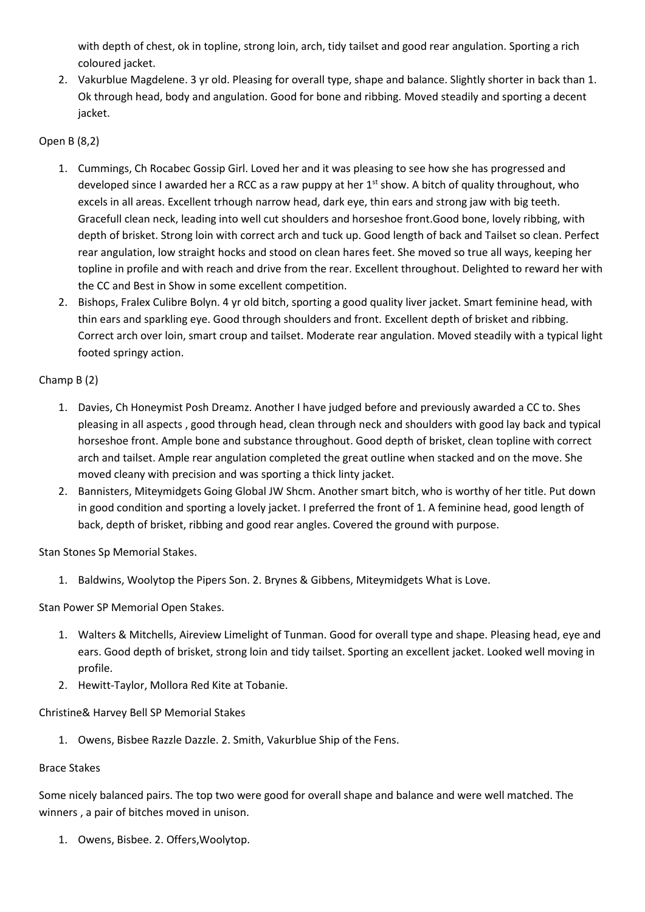with depth of chest, ok in topline, strong loin, arch, tidy tailset and good rear angulation. Sporting a rich coloured jacket.

2. Vakurblue Magdelene. 3 yr old. Pleasing for overall type, shape and balance. Slightly shorter in back than 1. Ok through head, body and angulation. Good for bone and ribbing. Moved steadily and sporting a decent jacket.

## Open B (8,2)

- 1. Cummings, Ch Rocabec Gossip Girl. Loved her and it was pleasing to see how she has progressed and developed since I awarded her a RCC as a raw puppy at her  $1<sup>st</sup>$  show. A bitch of quality throughout, who excels in all areas. Excellent trhough narrow head, dark eye, thin ears and strong jaw with big teeth. Gracefull clean neck, leading into well cut shoulders and horseshoe front.Good bone, lovely ribbing, with depth of brisket. Strong loin with correct arch and tuck up. Good length of back and Tailset so clean. Perfect rear angulation, low straight hocks and stood on clean hares feet. She moved so true all ways, keeping her topline in profile and with reach and drive from the rear. Excellent throughout. Delighted to reward her with the CC and Best in Show in some excellent competition.
- 2. Bishops, Fralex Culibre Bolyn. 4 yr old bitch, sporting a good quality liver jacket. Smart feminine head, with thin ears and sparkling eye. Good through shoulders and front. Excellent depth of brisket and ribbing. Correct arch over loin, smart croup and tailset. Moderate rear angulation. Moved steadily with a typical light footed springy action.

# Champ B (2)

- 1. Davies, Ch Honeymist Posh Dreamz. Another I have judged before and previously awarded a CC to. Shes pleasing in all aspects , good through head, clean through neck and shoulders with good lay back and typical horseshoe front. Ample bone and substance throughout. Good depth of brisket, clean topline with correct arch and tailset. Ample rear angulation completed the great outline when stacked and on the move. She moved cleany with precision and was sporting a thick linty jacket.
- 2. Bannisters, Miteymidgets Going Global JW Shcm. Another smart bitch, who is worthy of her title. Put down in good condition and sporting a lovely jacket. I preferred the front of 1. A feminine head, good length of back, depth of brisket, ribbing and good rear angles. Covered the ground with purpose.

Stan Stones Sp Memorial Stakes.

1. Baldwins, Woolytop the Pipers Son. 2. Brynes & Gibbens, Miteymidgets What is Love.

Stan Power SP Memorial Open Stakes.

- 1. Walters & Mitchells, Aireview Limelight of Tunman. Good for overall type and shape. Pleasing head, eye and ears. Good depth of brisket, strong loin and tidy tailset. Sporting an excellent jacket. Looked well moving in profile.
- 2. Hewitt-Taylor, Mollora Red Kite at Tobanie.

Christine& Harvey Bell SP Memorial Stakes

1. Owens, Bisbee Razzle Dazzle. 2. Smith, Vakurblue Ship of the Fens.

## Brace Stakes

Some nicely balanced pairs. The top two were good for overall shape and balance and were well matched. The winners , a pair of bitches moved in unison.

1. Owens, Bisbee. 2. Offers,Woolytop.